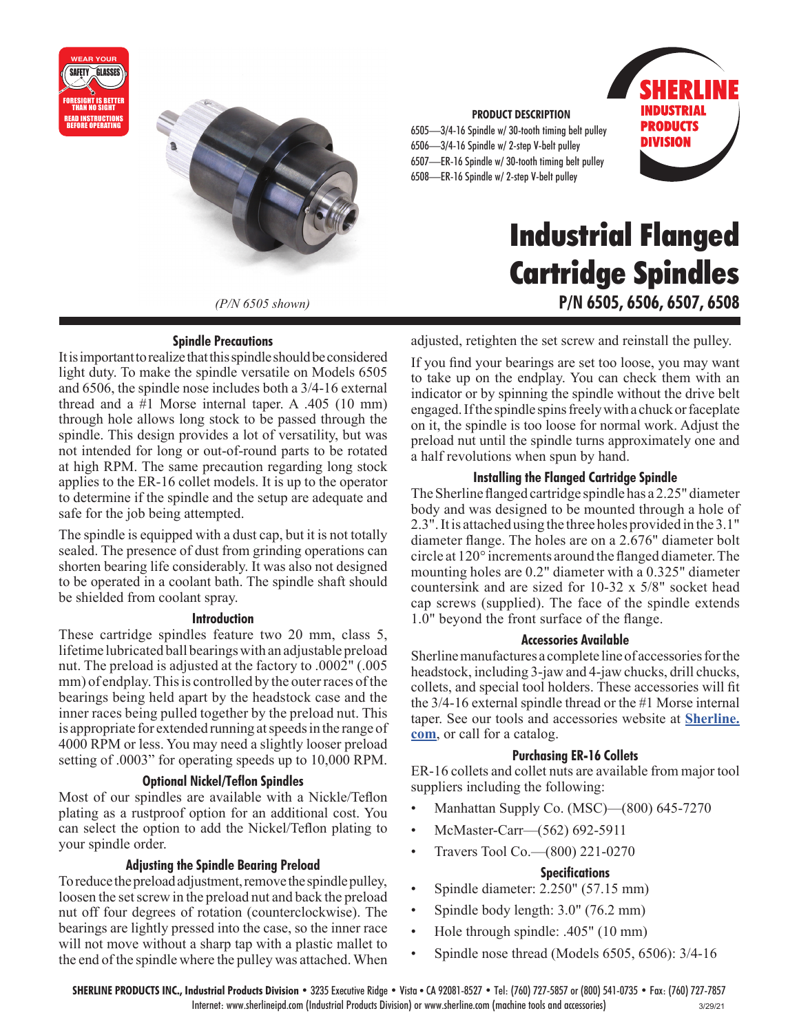



*(P/N 6505 shown)*

#### **Spindle Precautions**

It is important to realize that this spindle should be considered light duty. To make the spindle versatile on Models 6505 and 6506, the spindle nose includes both a 3/4-16 external thread and a #1 Morse internal taper. A .405 (10 mm) through hole allows long stock to be passed through the spindle. This design provides a lot of versatility, but was not intended for long or out-of-round parts to be rotated at high RPM. The same precaution regarding long stock applies to the ER-16 collet models. It is up to the operator to determine if the spindle and the setup are adequate and safe for the job being attempted.

The spindle is equipped with a dust cap, but it is not totally sealed. The presence of dust from grinding operations can shorten bearing life considerably. It was also not designed to be operated in a coolant bath. The spindle shaft should be shielded from coolant spray.

#### **Introduction**

These cartridge spindles feature two 20 mm, class 5, lifetime lubricated ball bearings with an adjustable preload nut. The preload is adjusted at the factory to .0002" (.005 mm) of endplay. This is controlled by the outer races of the bearings being held apart by the headstock case and the inner races being pulled together by the preload nut. This is appropriate for extended running at speeds in the range of 4000 RPM or less. You may need a slightly looser preload setting of .0003" for operating speeds up to 10,000 RPM.

#### **Optional Nickel/Teflon Spindles**

Most of our spindles are available with a Nickle/Teflon plating as a rustproof option for an additional cost. You can select the option to add the Nickel/Teflon plating to your spindle order.

#### **Adjusting the Spindle Bearing Preload**

To reduce the preload adjustment, remove the spindle pulley, loosen the set screw in the preload nut and back the preload nut off four degrees of rotation (counterclockwise). The bearings are lightly pressed into the case, so the inner race will not move without a sharp tap with a plastic mallet to the end of the spindle where the pulley was attached. When

#### **PRODUCT DESCRIPTION**

6505—3/4-16 Spindle w/ 30-tooth timing belt pulley 6506—3/4-16 Spindle w/ 2-step V-belt pulley 6507—ER-16 Spindle w/ 30-tooth timing belt pulley 6508—ER-16 Spindle w/ 2-step V-belt pulley



# **Industrial Flanged Cartridge Spindles P/N 6505, 6506, 6507, 6508**

adjusted, retighten the set screw and reinstall the pulley.

If you find your bearings are set too loose, you may want to take up on the endplay. You can check them with an indicator or by spinning the spindle without the drive belt engaged. If the spindle spins freely with a chuck or faceplate on it, the spindle is too loose for normal work. Adjust the preload nut until the spindle turns approximately one and a half revolutions when spun by hand.

#### **Installing the Flanged Cartridge Spindle**

The Sherline flanged cartridge spindle has a 2.25" diameter body and was designed to be mounted through a hole of 2.3". It is attached using the three holes provided in the 3.1" diameter flange. The holes are on a 2.676" diameter bolt circle at 120° increments around the flanged diameter. The mounting holes are 0.2" diameter with a 0.325" diameter countersink and are sized for 10-32 x 5/8" socket head cap screws (supplied). The face of the spindle extends 1.0" beyond the front surface of the flange.

#### **Accessories Available**

Sherline manufactures a complete line of accessories for the headstock, including 3-jaw and 4-jaw chucks, drill chucks, collets, and special tool holders. These accessories will fit the 3/4-16 external spindle thread or the #1 Morse internal taper. See our tools and accessories website at **[Sherline.](https://www.sherline.com/) [com](https://www.sherline.com/)**, or call for a catalog.

#### **Purchasing ER-16 Collets**

ER-16 collets and collet nuts are available from major tool suppliers including the following:

- Manhattan Supply Co. (MSC)—(800) 645-7270
- McMaster-Carr—(562) 692-5911
- Travers Tool Co. (800) 221-0270

#### **Specifications**

- Spindle diameter: 2.250" (57.15 mm)
- Spindle body length: 3.0" (76.2 mm)
- Hole through spindle: .405" (10 mm)
- Spindle nose thread (Models 6505, 6506): 3/4-16